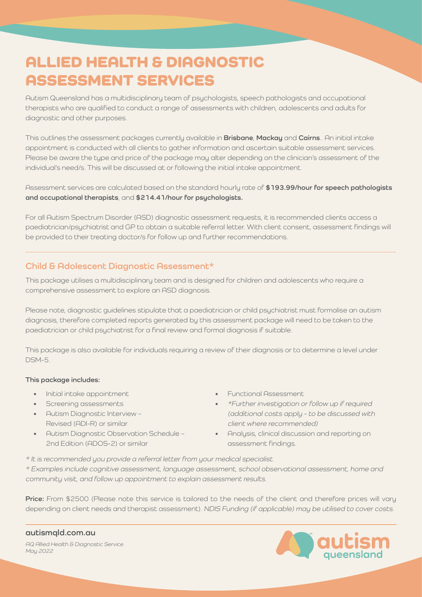# ALLIED HEALTH & DIAGNOSTIC ASSESSMENT SERVICES

Autism Queensland has a multidisciplinary team of psychologists, speech pathologists and occupational therapists who are qualified to conduct a range of assessments with children, adolescents and adults for diagnostic and other purposes.

This outlines the assessment packages currently available in **Brisbane**, **Mackay** and **Cairns**.. An initial intake appointment is conducted with all clients to gather information and ascertain suitable assessment services. Please be aware the type and price of the package may alter depending on the clinician's assessment of the individual's need/s. This will be discussed at or following the initial intake appointment.

Assessment services are calculated based on the standard hourly rate of **\$193.99/hour for speech pathologists and occupational therapists**, and **\$214.41/hour for psychologists.**

For all Autism Spectrum Disorder (ASD) diagnostic assessment requests, it is recommended clients access a paediatrician/psychiatrist and GP to obtain a suitable referral letter. With client consent, assessment findings will be provided to their treating doctor/s for follow up and further recommendations.

## **Child & Adolescent Diagnostic Assessment\***

This package utilises a multidisciplinary team and is designed for children and adolescents who require a comprehensive assessment to explore an ASD diagnosis.

Please note, diagnostic guidelines stipulate that a paediatrician or child psychiatrist must formalise an autism diagnosis, therefore completed reports generated by this assessment package will need to be taken to the paediatrician or child psychiatrist for a final review and formal diagnosis if suitable.

This package is also available for individuals requiring a review of their diagnosis or to determine a level under DSM-5.

#### **This package includes:**

- Initial intake appointment
- Screening assessments
- Autism Diagnostic Interview Revised (ADI-R) or similar
- Autism Diagnostic Observation Schedule 2nd Edition (ADOS-2) or similar
- Functional Assessment
- \*Further investigation or follow up if required (additional costs apply - to be discussed with client where recommended)
- Analysis, clinical discussion and reporting on assessment findings.

\* It is recommended you provide a referral letter from your medical specialist.

\* Examples include cognitive assessment, language assessment, school observational assessment, home and community visit, and follow up appointment to explain assessment results.

**Price:** From \$2500 (Please note this service is tailored to the needs of the client and therefore prices will vary depending on client needs and therapist assessment). NDIS Funding (if applicable) may be utilised to cover costs.

AQ Allied Health & Diagnostic Service May 2022 **[autismqld.com.au](http://autismqld.com.au)**

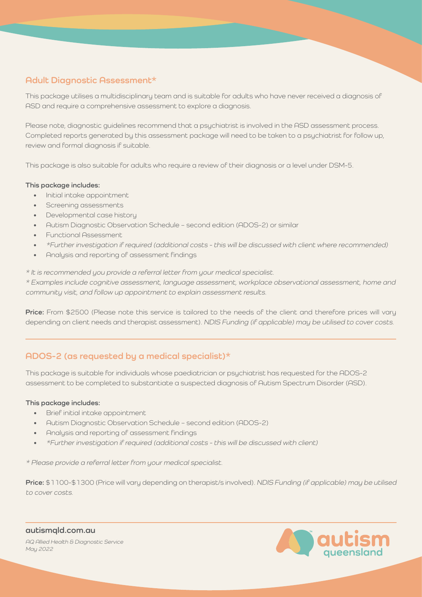# **Adult Diagnostic Assessment\***

This package utilises a multidisciplinary team and is suitable for adults who have never received a diagnosis of ASD and require a comprehensive assessment to explore a diagnosis.

Please note, diagnostic guidelines recommend that a psychiatrist is involved in the ASD assessment process. Completed reports generated by this assessment package will need to be taken to a psychiatrist for follow up, review and formal diagnosis if suitable.

This package is also suitable for adults who require a review of their diagnosis or a level under DSM-5.

#### **This package includes:**

- Initial intake appointment
- Screening assessments
- Developmental case history
- Autism Diagnostic Observation Schedule second edition (ADOS-2) or similar
- Functional Assessment
- \*Further investigation if required (additional costs this will be discussed with client where recommended)
- Analysis and reporting of assessment findings

\* It is recommended you provide a referral letter from your medical specialist.

\* Examples include cognitive assessment, language assessment, workplace observational assessment, home and community visit, and follow up appointment to explain assessment results.

**Price:** From \$2500 (Please note this service is tailored to the needs of the client and therefore prices will vary depending on client needs and therapist assessment). NDIS Funding (if applicable) may be utilised to cover costs.

## **ADOS-2 (as requested by a medical specialist)\***

This package is suitable for individuals whose paediatrician or psychiatrist has requested for the ADOS-2 assessment to be completed to substantiate a suspected diagnosis of Autism Spectrum Disorder (ASD).

## **This package includes:**

- Brief initial intake appointment
- Autism Diagnostic Observation Schedule second edition (ADOS-2)
- Analysis and reporting of assessment findings
- \*Further investigation if required (additional costs this will be discussed with client)

\* Please provide a referral letter from your medical specialist.

**Price:** \$1100-\$1300 (Price will vary depending on therapist/s involved). NDIS Funding (if applicable) may be utilised to cover costs.

AQ Allied Health & Diagnostic Service May 2022 **[autismqld.com.au](http://autismqld.com.au)**